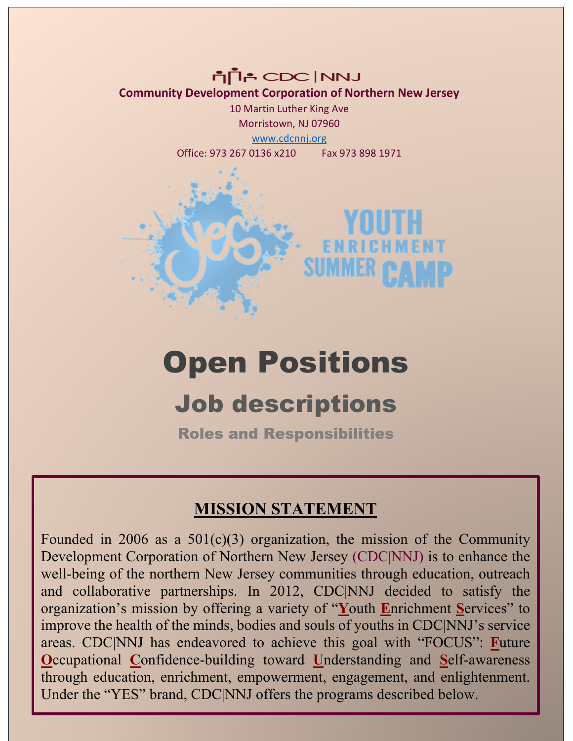החון CDC An **Community Development Corporation of Northern New Jersey** 10 Martin Luther King Ave

Morristown, NJ 07960 [www.cdcnnj.org](http://www.cdcnnj.org/) Office: 973 267 0136 x210 Fax 973 898 1971



# Open Positions

## Job descriptions

Roles and Responsibilities

### **MISSION STATEMENT**

Founded in 2006 as a  $501(c)(3)$  organization, the mission of the Community Development Corporation of Northern New Jersey (CDC|NNJ) is to enhance the well-being of the northern New Jersey communities through education, outreach and collaborative partnerships. In 2012, CDC|NNJ decided to satisfy the organization's mission by offering a variety of "**Y**outh **E**nrichment **S**ervices" to improve the health of the minds, bodies and souls of youths in CDC|NNJ's service areas. CDC|NNJ has endeavored to achieve this goal with "FOCUS": **F**uture **O**ccupational **C**onfidence-building toward **U**nderstanding and **S**elf-awareness through education, enrichment, empowerment, engagement, and enlightenment. Under the "YES" brand, CDC|NNJ offers the programs described below.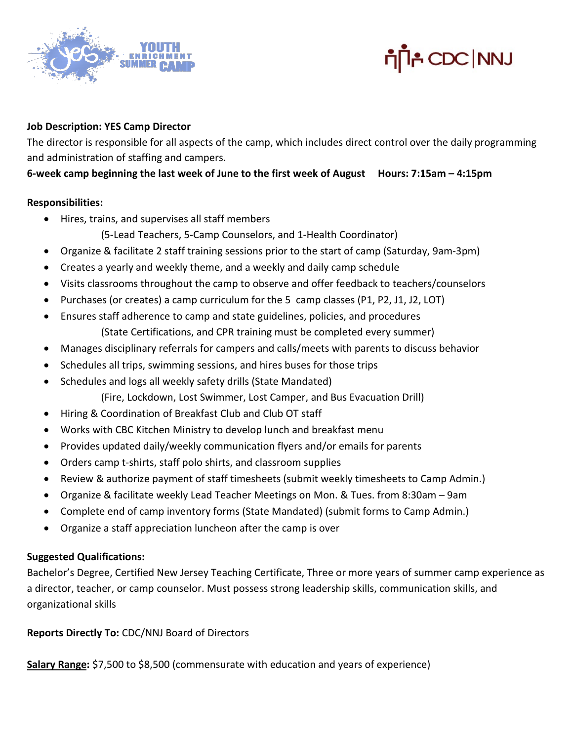



#### **Job Description: YES Camp Director**

The director is responsible for all aspects of the camp, which includes direct control over the daily programming and administration of staffing and campers.

#### **6-week camp beginning the last week of June to the first week of August Hours: 7:15am – 4:15pm**

#### **Responsibilities:**

• Hires, trains, and supervises all staff members

(5-Lead Teachers, 5-Camp Counselors, and 1-Health Coordinator)

- Organize & facilitate 2 staff training sessions prior to the start of camp (Saturday, 9am-3pm)
- Creates a yearly and weekly theme, and a weekly and daily camp schedule
- Visits classrooms throughout the camp to observe and offer feedback to teachers/counselors
- Purchases (or creates) a camp curriculum for the 5 camp classes (P1, P2, J1, J2, LOT)
- Ensures staff adherence to camp and state guidelines, policies, and procedures (State Certifications, and CPR training must be completed every summer)
- Manages disciplinary referrals for campers and calls/meets with parents to discuss behavior
- Schedules all trips, swimming sessions, and hires buses for those trips
- Schedules and logs all weekly safety drills (State Mandated) (Fire, Lockdown, Lost Swimmer, Lost Camper, and Bus Evacuation Drill)
- Hiring & Coordination of Breakfast Club and Club OT staff
- Works with CBC Kitchen Ministry to develop lunch and breakfast menu
- Provides updated daily/weekly communication flyers and/or emails for parents
- Orders camp t-shirts, staff polo shirts, and classroom supplies
- Review & authorize payment of staff timesheets (submit weekly timesheets to Camp Admin.)
- Organize & facilitate weekly Lead Teacher Meetings on Mon. & Tues. from 8:30am 9am
- Complete end of camp inventory forms (State Mandated) (submit forms to Camp Admin.)
- Organize a staff appreciation luncheon after the camp is over

#### **Suggested Qualifications:**

Bachelor's Degree, Certified New Jersey Teaching Certificate, Three or more years of summer camp experience as a director, teacher, or camp counselor. Must possess strong leadership skills, communication skills, and organizational skills

**Reports Directly To:** CDC/NNJ Board of Directors

**Salary Range:** \$7,500 to \$8,500 (commensurate with education and years of experience)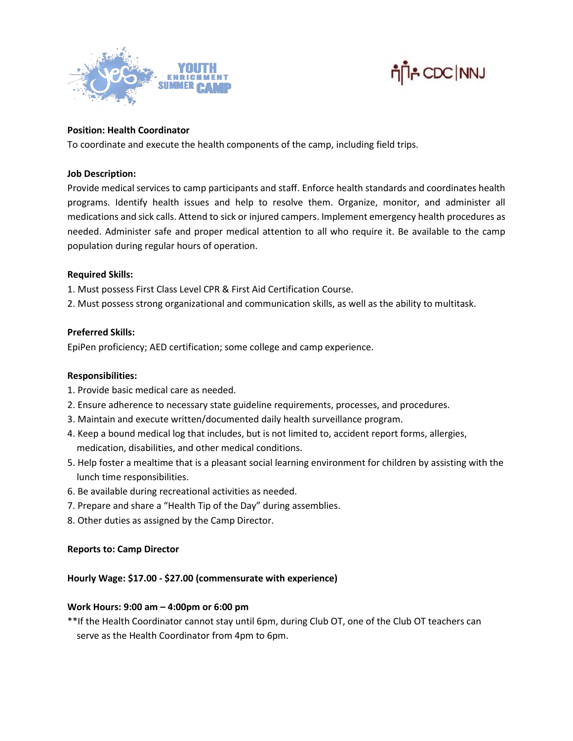



#### **Position: Health Coordinator**

To coordinate and execute the health components of the camp, including field trips.

#### **Job Description:**

Provide medical services to camp participants and staff. Enforce health standards and coordinates health programs. Identify health issues and help to resolve them. Organize, monitor, and administer all medications and sick calls. Attend to sick or injured campers. Implement emergency health procedures as needed. Administer safe and proper medical attention to all who require it. Be available to the camp population during regular hours of operation.

#### **Required Skills:**

1. Must possess First Class Level CPR & First Aid Certification Course.

2. Must possess strong organizational and communication skills, as well as the ability to multitask.

#### **Preferred Skills:**

EpiPen proficiency; AED certification; some college and camp experience.

#### **Responsibilities:**

- 1. Provide basic medical care as needed.
- 2. Ensure adherence to necessary state guideline requirements, processes, and procedures.
- 3. Maintain and execute written/documented daily health surveillance program.
- 4. Keep a bound medical log that includes, but is not limited to, accident report forms, allergies, medication, disabilities, and other medical conditions.
- 5. Help foster a mealtime that is a pleasant social learning environment for children by assisting with the lunch time responsibilities.
- 6. Be available during recreational activities as needed.
- 7. Prepare and share a "Health Tip of the Day" during assemblies.
- 8. Other duties as assigned by the Camp Director.

#### **Reports to: Camp Director**

#### **Hourly Wage: \$17.00 - \$27.00 (commensurate with experience)**

#### **Work Hours: 9:00 am – 4:00pm or 6:00 pm**

\*\*If the Health Coordinator cannot stay until 6pm, during Club OT, one of the Club OT teachers can serve as the Health Coordinator from 4pm to 6pm.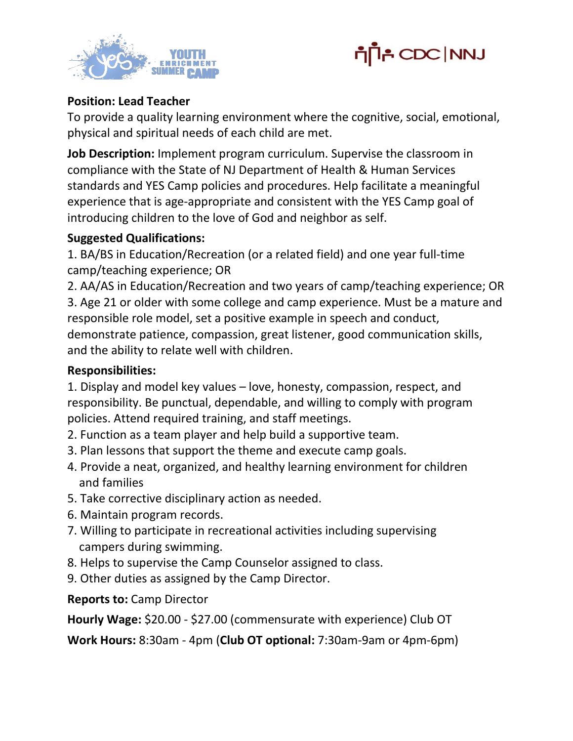



#### **Position: Lead Teacher**

To provide a quality learning environment where the cognitive, social, emotional, physical and spiritual needs of each child are met.

**Job Description:** Implement program curriculum. Supervise the classroom in compliance with the State of NJ Department of Health & Human Services standards and YES Camp policies and procedures. Help facilitate a meaningful experience that is age-appropriate and consistent with the YES Camp goal of introducing children to the love of God and neighbor as self.

#### **Suggested Qualifications:**

1. BA/BS in Education/Recreation (or a related field) and one year full-time camp/teaching experience; OR

2. AA/AS in Education/Recreation and two years of camp/teaching experience; OR 3. Age 21 or older with some college and camp experience. Must be a mature and responsible role model, set a positive example in speech and conduct, demonstrate patience, compassion, great listener, good communication skills, and the ability to relate well with children.

#### **Responsibilities:**

1. Display and model key values – love, honesty, compassion, respect, and responsibility. Be punctual, dependable, and willing to comply with program policies. Attend required training, and staff meetings.

- 2. Function as a team player and help build a supportive team.
- 3. Plan lessons that support the theme and execute camp goals.
- 4. Provide a neat, organized, and healthy learning environment for children and families
- 5. Take corrective disciplinary action as needed.
- 6. Maintain program records.
- 7. Willing to participate in recreational activities including supervising campers during swimming.
- 8. Helps to supervise the Camp Counselor assigned to class.
- 9. Other duties as assigned by the Camp Director.

**Reports to:** Camp Director

**Hourly Wage:** \$20.00 - \$27.00 (commensurate with experience) Club OT

**Work Hours:** 8:30am - 4pm (**Club OT optional:** 7:30am-9am or 4pm-6pm)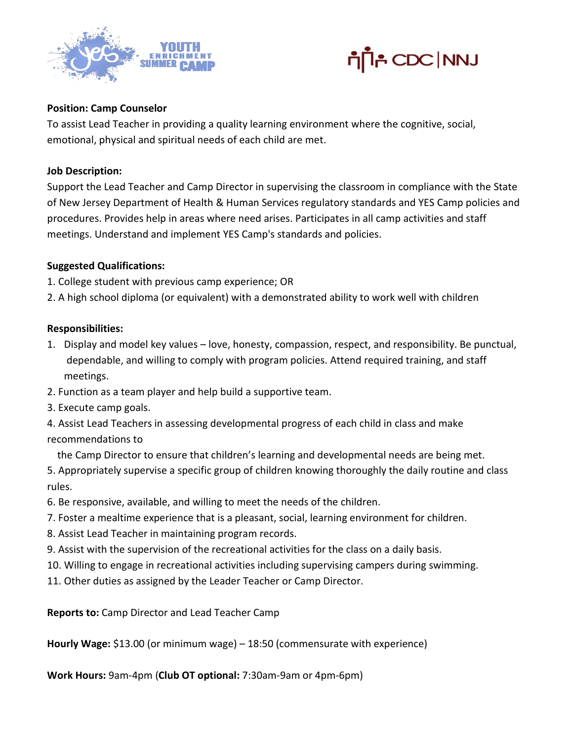



#### **Position: Camp Counselor**

To assist Lead Teacher in providing a quality learning environment where the cognitive, social, emotional, physical and spiritual needs of each child are met.

#### **Job Description:**

Support the Lead Teacher and Camp Director in supervising the classroom in compliance with the State of New Jersey Department of Health & Human Services regulatory standards and YES Camp policies and procedures. Provides help in areas where need arises. Participates in all camp activities and staff meetings. Understand and implement YES Camp's standards and policies.

#### **Suggested Qualifications:**

- 1. College student with previous camp experience; OR
- 2. A high school diploma (or equivalent) with a demonstrated ability to work well with children

#### **Responsibilities:**

- 1. Display and model key values love, honesty, compassion, respect, and responsibility. Be punctual, dependable, and willing to comply with program policies. Attend required training, and staff meetings.
- 2. Function as a team player and help build a supportive team.
- 3. Execute camp goals.
- 4. Assist Lead Teachers in assessing developmental progress of each child in class and make recommendations to
	- the Camp Director to ensure that children's learning and developmental needs are being met.
- 5. Appropriately supervise a specific group of children knowing thoroughly the daily routine and class rules.
- 6. Be responsive, available, and willing to meet the needs of the children.
- 7. Foster a mealtime experience that is a pleasant, social, learning environment for children.
- 8. Assist Lead Teacher in maintaining program records.
- 9. Assist with the supervision of the recreational activities for the class on a daily basis.
- 10. Willing to engage in recreational activities including supervising campers during swimming.
- 11. Other duties as assigned by the Leader Teacher or Camp Director.

**Reports to:** Camp Director and Lead Teacher Camp

**Hourly Wage:** \$13.00 (or minimum wage) – 18:50 (commensurate with experience)

**Work Hours:** 9am-4pm (**Club OT optional:** 7:30am-9am or 4pm-6pm)